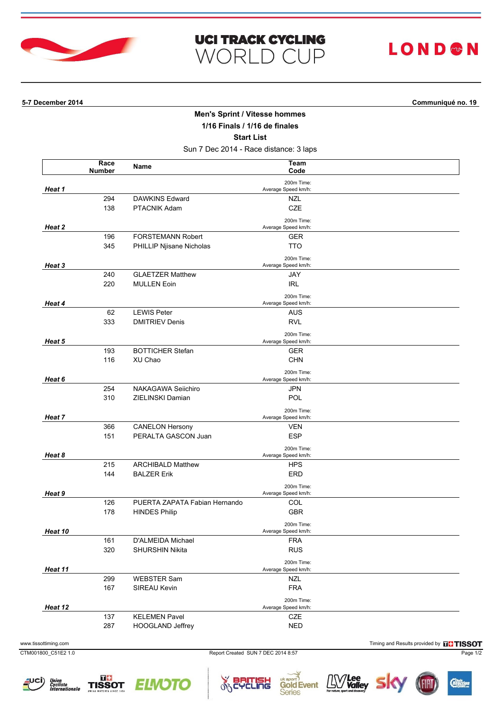

| <b>UCI TRACK CYCLING</b> |  |  |
|--------------------------|--|--|
| <b>WORLD CUP</b>         |  |  |

## **LOND®N**

**5-7 December 2014 Communiqué no. 19**

## **Men's Sprint / Vitesse hommes**

**1/16 Finals / 1/16 de finales**

**Start List**

Sun 7 Dec 2014 - Race distance: 3 laps

|         | Race<br><b>Number</b> | Name                                        | Team<br>Code                      |  |
|---------|-----------------------|---------------------------------------------|-----------------------------------|--|
|         |                       |                                             | 200m Time:                        |  |
| Heat 1  |                       |                                             | Average Speed km/h:               |  |
|         | 294                   | <b>DAWKINS Edward</b>                       | <b>NZL</b>                        |  |
|         | 138                   | PTACNIK Adam                                | CZE                               |  |
|         |                       |                                             | 200m Time:                        |  |
| Heat 2  | 196                   | <b>FORSTEMANN Robert</b>                    | Average Speed km/h:               |  |
|         | 345                   | PHILLIP Njisane Nicholas                    | GER<br>TTO                        |  |
|         |                       |                                             |                                   |  |
| Heat 3  |                       |                                             | 200m Time:<br>Average Speed km/h: |  |
|         | 240                   | <b>GLAETZER Matthew</b>                     | JAY                               |  |
|         | 220                   | <b>MULLEN Eoin</b>                          | <b>IRL</b>                        |  |
|         |                       |                                             | 200m Time:                        |  |
| Heat 4  |                       |                                             | Average Speed km/h:               |  |
|         | 62<br>333             | <b>LEWIS Peter</b><br><b>DMITRIEV Denis</b> | AUS<br><b>RVL</b>                 |  |
|         |                       |                                             |                                   |  |
| Heat 5  |                       |                                             | 200m Time:<br>Average Speed km/h: |  |
|         | 193                   | <b>BOTTICHER Stefan</b>                     | <b>GER</b>                        |  |
|         | 116                   | XU Chao                                     | CHN                               |  |
|         |                       |                                             | 200m Time:                        |  |
| Heat 6  |                       |                                             | Average Speed km/h:               |  |
|         | 254                   | NAKAGAWA Seiichiro                          | JPN                               |  |
|         | 310                   | ZIELINSKI Damian                            | POL                               |  |
| Heat 7  |                       |                                             | 200m Time:<br>Average Speed km/h: |  |
|         | 366                   | <b>CANELON Hersony</b>                      | <b>VEN</b>                        |  |
|         | 151                   | PERALTA GASCON Juan                         | <b>ESP</b>                        |  |
|         |                       |                                             | 200m Time:                        |  |
| Heat 8  |                       |                                             | Average Speed km/h:               |  |
|         | 215                   | <b>ARCHIBALD Matthew</b>                    | <b>HPS</b>                        |  |
|         | 144                   | <b>BALZER Erik</b>                          | ERD                               |  |
| Heat 9  |                       |                                             | 200m Time:<br>Average Speed km/h: |  |
|         | 126                   | PUERTA ZAPATA Fabian Hernando               | COL                               |  |
|         | 178                   | <b>HINDES Philip</b>                        | <b>GBR</b>                        |  |
|         |                       |                                             | 200m Time:                        |  |
| Heat 10 |                       |                                             | Average Speed km/h:               |  |
|         | 161                   | D'ALMEIDA Michael                           | <b>FRA</b>                        |  |
|         | 320                   | SHURSHIN Nikita                             | <b>RUS</b>                        |  |
|         |                       |                                             | 200m Time:                        |  |
| Heat 11 | 299                   | <b>WEBSTER Sam</b>                          | Average Speed km/h:<br><b>NZL</b> |  |
|         | 167                   | SIREAU Kevin                                | <b>FRA</b>                        |  |
|         |                       |                                             | 200m Time:                        |  |
| Heat 12 |                       |                                             | Average Speed km/h:               |  |
|         | 137                   | <b>KELEMEN Pavel</b>                        | CZE                               |  |
|         | 287                   | HOOGLAND Jeffrey                            | <b>NED</b>                        |  |
|         |                       |                                             |                                   |  |

www.tissottiming.com **Timing and Results provided by FINSOT** 

CTM001800\_C51E2 1.0 Report Created SUN 7 DEC 2014 8:57 Page 1/2